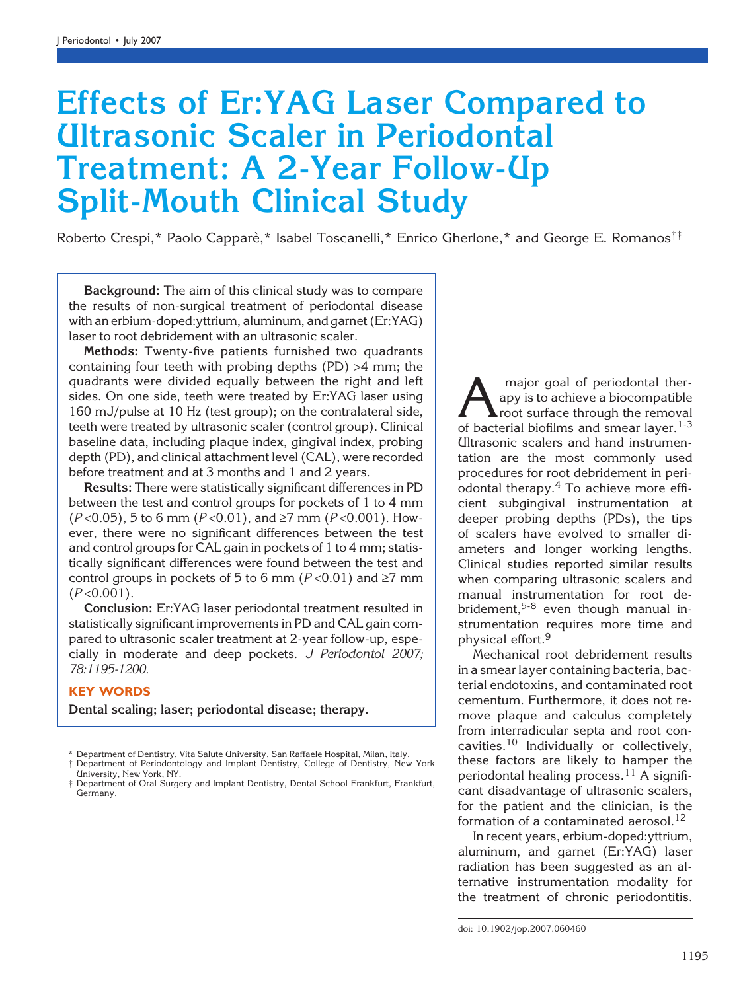# Effects of Er:YAG Laser Compared to Ultrasonic Scaler in Periodontal Treatment: A 2-Year Follow-Up Split-Mouth Clinical Study

Roberto Crespi,\* Paolo Capparè,\* Isabel Toscanelli,\* Enrico Gherlone,\* and George E. Romanos<sup>††</sup>

Background: The aim of this clinical study was to compare the results of non-surgical treatment of periodontal disease with an erbium-doped:yttrium, aluminum, and garnet (Er:YAG) laser to root debridement with an ultrasonic scaler.

Methods: Twenty-five patients furnished two quadrants containing four teeth with probing depths (PD) >4 mm; the quadrants were divided equally between the right and left sides. On one side, teeth were treated by Er:YAG laser using 160 mJ/pulse at 10 Hz (test group); on the contralateral side, teeth were treated by ultrasonic scaler (control group). Clinical baseline data, including plaque index, gingival index, probing depth (PD), and clinical attachment level (CAL), were recorded before treatment and at 3 months and 1 and 2 years.

Results: There were statistically significant differences in PD between the test and control groups for pockets of 1 to 4 mm  $(P<0.05)$ , 5 to 6 mm  $(P<0.01)$ , and  $\geq$ 7 mm  $(P<0.001)$ . However, there were no significant differences between the test and control groups for CAL gain in pockets of 1 to 4 mm; statistically significant differences were found between the test and control groups in pockets of 5 to 6 mm ( $P < 0.01$ ) and  $\ge 7$  mm  $(P<0.001)$ .

Conclusion: Er:YAG laser periodontal treatment resulted in statistically significant improvements in PD and CAL gain compared to ultrasonic scaler treatment at 2-year follow-up, especially in moderate and deep pockets. J Periodontol 2007; 78:1195-1200.

### KEY WORDS

Dental scaling; laser; periodontal disease; therapy.

University, New York, NY.

 $\sum$  major goal of periodontal ther-<br>apy is to achieve a biocompatible<br>of bacterial biofilms and smear layer  $^{1-3}$ apy is to achieve a biocompatible root surface through the removal of bacterial biofilms and smear layer.<sup>1-3</sup> Ultrasonic scalers and hand instrumentation are the most commonly used procedures for root debridement in periodontal therapy.<sup>4</sup> To achieve more efficient subgingival instrumentation at deeper probing depths (PDs), the tips of scalers have evolved to smaller diameters and longer working lengths. Clinical studies reported similar results when comparing ultrasonic scalers and manual instrumentation for root debridement,<sup>5-8</sup> even though manual instrumentation requires more time and physical effort.<sup>9</sup>

Mechanical root debridement results in a smear layer containing bacteria, bacterial endotoxins, and contaminated root cementum. Furthermore, it does not remove plaque and calculus completely from interradicular septa and root concavities.<sup>10</sup> Individually or collectively, these factors are likely to hamper the periodontal healing process.<sup>11</sup> A significant disadvantage of ultrasonic scalers, for the patient and the clinician, is the formation of a contaminated aerosol. $12$ 

In recent years, erbium-doped:yttrium, aluminum, and garnet (Er:YAG) laser radiation has been suggested as an alternative instrumentation modality for the treatment of chronic periodontitis.

<sup>\*</sup> Department of Dentistry, Vita Salute University, San Raffaele Hospital, Milan, Italy. † Department of Periodontology and Implant Dentistry, College of Dentistry, New York

<sup>‡</sup> Department of Oral Surgery and Implant Dentistry, Dental School Frankfurt, Frankfurt, Germany.

doi: 10.1902/jop.2007.060460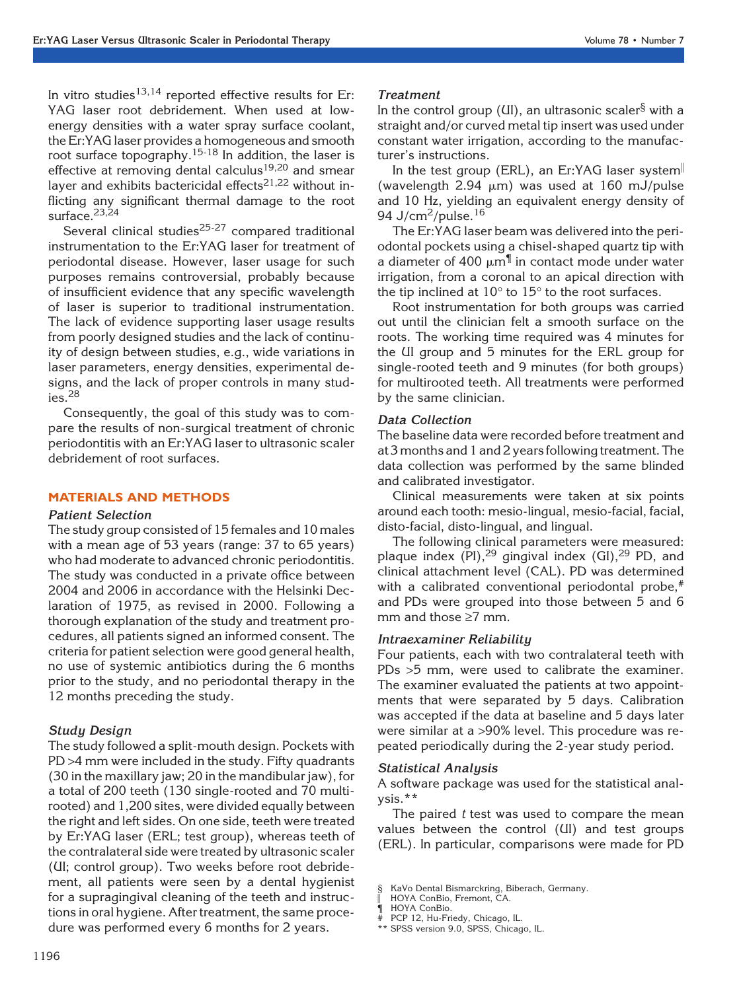In vitro studies<sup>13,14</sup> reported effective results for Er: YAG laser root debridement. When used at lowenergy densities with a water spray surface coolant, the Er:YAG laser provides a homogeneous and smooth root surface topography.<sup>15-18</sup> In addition, the laser is effective at removing dental calculus<sup>19,20</sup> and smear layer and exhibits bactericidal effects<sup>21,22</sup> without inflicting any significant thermal damage to the root surface.23,24

Several clinical studies<sup>25-27</sup> compared traditional instrumentation to the Er:YAG laser for treatment of periodontal disease. However, laser usage for such purposes remains controversial, probably because of insufficient evidence that any specific wavelength of laser is superior to traditional instrumentation. The lack of evidence supporting laser usage results from poorly designed studies and the lack of continuity of design between studies, e.g., wide variations in laser parameters, energy densities, experimental designs, and the lack of proper controls in many stud $i$ es.<sup>28</sup>

Consequently, the goal of this study was to compare the results of non-surgical treatment of chronic periodontitis with an Er:YAG laser to ultrasonic scaler debridement of root surfaces.

# MATERIALS AND METHODS

#### Patient Selection

The study group consisted of 15 females and 10 males with a mean age of 53 years (range: 37 to 65 years) who had moderate to advanced chronic periodontitis. The study was conducted in a private office between 2004 and 2006 in accordance with the Helsinki Declaration of 1975, as revised in 2000. Following a thorough explanation of the study and treatment procedures, all patients signed an informed consent. The criteria for patient selection were good general health, no use of systemic antibiotics during the 6 months prior to the study, and no periodontal therapy in the 12 months preceding the study.

#### Study Design

The study followed a split-mouth design. Pockets with PD >4 mm were included in the study. Fifty quadrants (30 in the maxillary jaw; 20 in the mandibular jaw), for a total of 200 teeth (130 single-rooted and 70 multirooted) and 1,200 sites, were divided equally between the right and left sides. On one side, teeth were treated by Er:YAG laser (ERL; test group), whereas teeth of the contralateral side were treated by ultrasonic scaler (UI; control group). Two weeks before root debridement, all patients were seen by a dental hygienist for a supragingival cleaning of the teeth and instructions in oral hygiene. After treatment, the same procedure was performed every 6 months for 2 years.

#### Treatment

In the control group ( $UI$ ), an ultrasonic scaler<sup>§</sup> with a straight and/or curved metal tip insert was used under constant water irrigation, according to the manufacturer's instructions.

In the test group (ERL), an Er:YAG laser system (wavelength  $2.94 \mu m$ ) was used at 160 mJ/pulse and 10 Hz, yielding an equivalent energy density of 94 J/cm $^2$ /pulse. $^{16}$ 

The Er:YAG laser beam was delivered into the periodontal pockets using a chisel-shaped quartz tip with a diameter of 400  $\mu$ m $\overline{\mathbb{I}}$  in contact mode under water irrigation, from a coronal to an apical direction with the tip inclined at  $10^{\circ}$  to  $15^{\circ}$  to the root surfaces.

Root instrumentation for both groups was carried out until the clinician felt a smooth surface on the roots. The working time required was 4 minutes for the UI group and 5 minutes for the ERL group for single-rooted teeth and 9 minutes (for both groups) for multirooted teeth. All treatments were performed by the same clinician.

#### Data Collection

The baseline data were recorded before treatment and at 3 months and 1 and 2 years following treatment. The data collection was performed by the same blinded and calibrated investigator.

Clinical measurements were taken at six points around each tooth: mesio-lingual, mesio-facial, facial, disto-facial, disto-lingual, and lingual.

The following clinical parameters were measured: plaque index  $(PI)$ ,  $^{29}$  gingival index  $(GI)$ ,  $^{29}$  PD, and clinical attachment level (CAL). PD was determined with a calibrated conventional periodontal probe,<sup>#</sup> and PDs were grouped into those between 5 and 6 mm and those  $\geq 7$  mm.

#### Intraexaminer Reliability

Four patients, each with two contralateral teeth with PDs >5 mm, were used to calibrate the examiner. The examiner evaluated the patients at two appointments that were separated by 5 days. Calibration was accepted if the data at baseline and 5 days later were similar at a >90% level. This procedure was repeated periodically during the 2-year study period.

#### Statistical Analysis

A software package was used for the statistical analysis.\*\*

The paired  $t$  test was used to compare the mean values between the control (UI) and test groups (ERL). In particular, comparisons were made for PD

<sup>§</sup> KaVo Dental Bismarckring, Biberach, Germany.

HOYA ConBio, Fremont, CA.

<sup>¶</sup> HOYA ConBio.

PCP 12, Hu-Friedy, Chicago, IL.

<sup>\*\*</sup> SPSS version 9.0, SPSS, Chicago, IL.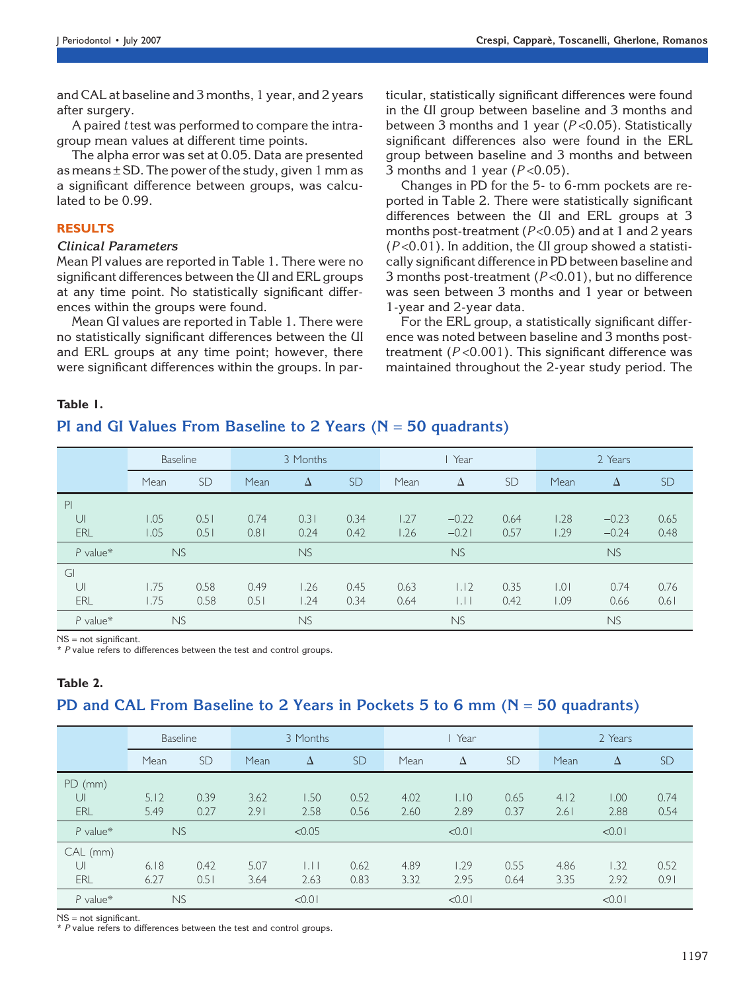and CAL at baseline and 3 months, 1 year, and 2 years after surgery.

A paired t test was performed to compare the intragroup mean values at different time points.

The alpha error was set at 0.05. Data are presented as means  $\pm$  SD. The power of the study, given 1 mm as a significant difference between groups, was calculated to be 0.99.

# RESULTS

## Clinical Parameters

Mean PI values are reported in Table 1. There were no significant differences between the UI and ERL groups at any time point. No statistically significant differences within the groups were found.

Mean GI values are reported in Table 1. There were no statistically significant differences between the UI and ERL groups at any time point; however, there were significant differences within the groups. In particular, statistically significant differences were found in the UI group between baseline and 3 months and between 3 months and 1 year ( $P < 0.05$ ). Statistically significant differences also were found in the ERL group between baseline and 3 months and between 3 months and 1 year  $(P<0.05)$ .

Changes in PD for the 5- to 6-mm pockets are reported in Table 2. There were statistically significant differences between the UI and ERL groups at 3 months post-treatment ( $P < 0.05$ ) and at 1 and 2 years  $(P<0.01)$ . In addition, the UI group showed a statistically significant difference in PD between baseline and 3 months post-treatment  $(P<0.01)$ , but no difference was seen between 3 months and 1 year or between 1-year and 2-year data.

For the ERL group, a statistically significant difference was noted between baseline and 3 months posttreatment ( $P < 0.001$ ). This significant difference was maintained throughout the 2-year study period. The

## Table 1.

# PI and GI Values From Baseline to 2 Years ( $N = 50$  quadrants)

|            | <b>Baseline</b> |           | 3 Months  |           |           | Year |              |           | 2 Years |           |           |
|------------|-----------------|-----------|-----------|-----------|-----------|------|--------------|-----------|---------|-----------|-----------|
|            | Mean            | <b>SD</b> | Mean      | $\Delta$  | <b>SD</b> | Mean | Δ            | <b>SD</b> | Mean    | Δ         | <b>SD</b> |
| PI         |                 |           |           |           |           |      |              |           |         |           |           |
| $\cup$     | 1.05            | 0.51      | 0.74      | 0.31      | 0.34      | 1.27 | $-0.22$      | 0.64      | 1.28    | $-0.23$   | 0.65      |
| ERL        | 1.05            | 0.51      | 0.81      | 0.24      | 0.42      | 1.26 | $-0.21$      | 0.57      | .29     | $-0.24$   | 0.48      |
| $P$ value* | <b>NS</b>       |           |           | <b>NS</b> |           |      | <b>NS</b>    |           |         | <b>NS</b> |           |
| GI         |                 |           |           |           |           |      |              |           |         |           |           |
| UI         | 1.75            | 0.58      | 0.49      | 1.26      | 0.45      | 0.63 | 1.12         | 0.35      | 0.0     | 0.74      | 0.76      |
| ERL        | 1.75            | 0.58      | 0.51      | 1.24      | 0.34      | 0.64 | $\mathsf{L}$ | 0.42      | 0.09    | 0.66      | 0.61      |
| $P$ value* | <b>NS</b>       |           | <b>NS</b> |           |           |      |              | <b>NS</b> |         |           |           |

NS = not significant.

\* P value refers to differences between the test and control groups.

# Table 2.

# PD and CAL From Baseline to 2 Years in Pockets 5 to 6 mm ( $N = 50$  quadrants)

|            | <b>Baseline</b> |           | 3 Months |        |           | Year |        |           | 2 Years |        |           |
|------------|-----------------|-----------|----------|--------|-----------|------|--------|-----------|---------|--------|-----------|
|            | Mean            | <b>SD</b> | Mean     | Δ      | <b>SD</b> | Mean | Δ      | <b>SD</b> | Mean    | Δ      | <b>SD</b> |
| $PD$ (mm)  |                 |           |          |        |           |      |        |           |         |        |           |
| $\cup$     | 5.12            | 0.39      | 3.62     | 1.50   | 0.52      | 4.02 | 1.10   | 0.65      | 4.12    | 00.1   | 0.74      |
| ERL        | 5.49            | 0.27      | 2.91     | 2.58   | 0.56      | 2.60 | 2.89   | 0.37      | 2.61    | 2.88   | 0.54      |
| $P$ value* | <b>NS</b>       |           |          | < 0.05 |           |      | < 0.01 |           |         | < 0.01 |           |
| CAL (mm)   |                 |           |          |        |           |      |        |           |         |        |           |
| UI         | 6.18            | 0.42      | 5.07     | LH     | 0.62      | 4.89 | 1.29   | 0.55      | 4.86    | 1.32   | 0.52      |
| ERL        | 6.27            | 0.51      | 3.64     | 2.63   | 0.83      | 3.32 | 2.95   | 0.64      | 3.35    | 2.92   | 0.91      |
| $P$ value* | <b>NS</b>       |           |          | < 0.01 |           |      | < 0.01 |           |         | < 0.01 |           |

NS = not significant.

\* P value refers to differences between the test and control groups.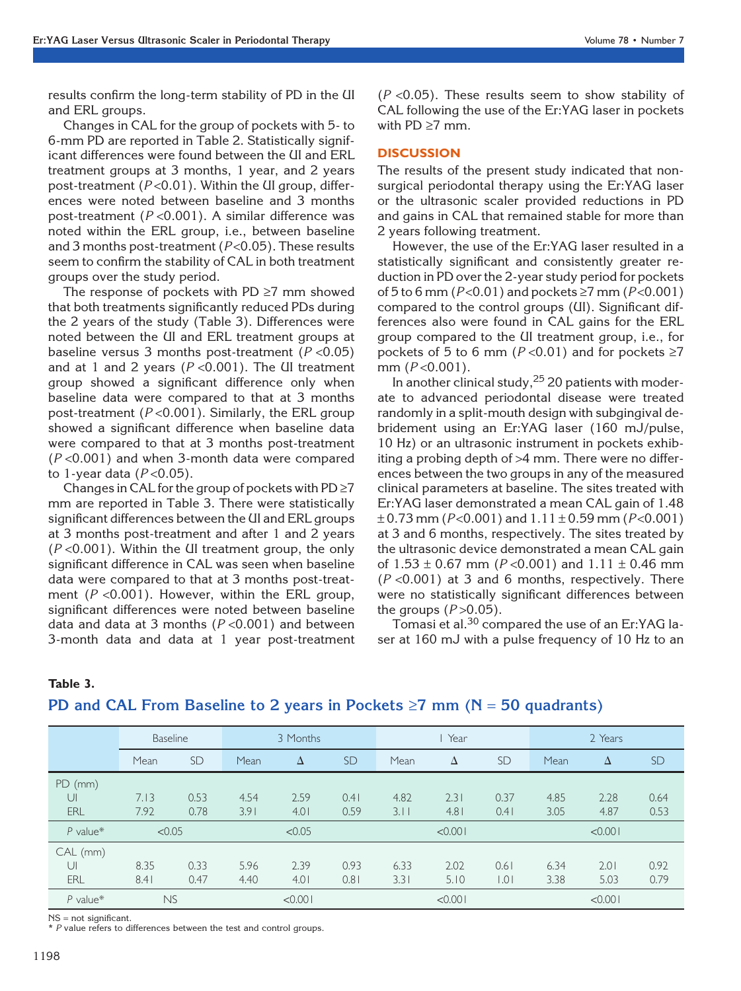results confirm the long-term stability of PD in the UI and ERL groups.

Changes in CAL for the group of pockets with 5- to 6-mm PD are reported in Table 2. Statistically significant differences were found between the UI and ERL treatment groups at 3 months, 1 year, and 2 years post-treatment ( $P < 0.01$ ). Within the UI group, differences were noted between baseline and 3 months post-treatment ( $P < 0.001$ ). A similar difference was noted within the ERL group, i.e., between baseline and 3 months post-treatment ( $P < 0.05$ ). These results seem to confirm the stability of CAL in both treatment groups over the study period.

The response of pockets with PD  $\geq$ 7 mm showed that both treatments significantly reduced PDs during the 2 years of the study (Table 3). Differences were noted between the UI and ERL treatment groups at baseline versus 3 months post-treatment  $(P < 0.05)$ and at 1 and 2 years ( $P < 0.001$ ). The UI treatment group showed a significant difference only when baseline data were compared to that at 3 months post-treatment ( $P < 0.001$ ). Similarly, the ERL group showed a significant difference when baseline data were compared to that at 3 months post-treatment  $(P<0.001)$  and when 3-month data were compared to 1-year data  $(P<0.05)$ .

Changes in CAL for the group of pockets with  $PD \ge 7$ mm are reported in Table 3. There were statistically significant differences between the UI and ERL groups at 3 months post-treatment and after 1 and 2 years  $(P<0.001)$ . Within the UI treatment group, the only significant difference in CAL was seen when baseline data were compared to that at 3 months post-treatment ( $P < 0.001$ ). However, within the ERL group, significant differences were noted between baseline data and data at 3 months ( $P < 0.001$ ) and between 3-month data and data at 1 year post-treatment  $(P < 0.05)$ . These results seem to show stability of CAL following the use of the Er:YAG laser in pockets with  $PD \geq 7$  mm.

## **DISCUSSION**

The results of the present study indicated that nonsurgical periodontal therapy using the Er:YAG laser or the ultrasonic scaler provided reductions in PD and gains in CAL that remained stable for more than 2 years following treatment.

However, the use of the Er:YAG laser resulted in a statistically significant and consistently greater reduction in PD over the 2-year study period for pockets of 5 to 6 mm ( $P < 0.01$ ) and pockets  $\ge 7$  mm ( $P < 0.001$ ) compared to the control groups (UI). Significant differences also were found in CAL gains for the ERL group compared to the UI treatment group, i.e., for pockets of 5 to 6 mm ( $P < 0.01$ ) and for pockets  $\ge 7$ mm  $(P<0.001)$ .

In another clinical study,  $25$  20 patients with moderate to advanced periodontal disease were treated randomly in a split-mouth design with subgingival debridement using an Er:YAG laser (160 mJ/pulse, 10 Hz) or an ultrasonic instrument in pockets exhibiting a probing depth of >4 mm. There were no differences between the two groups in any of the measured clinical parameters at baseline. The sites treated with Er:YAG laser demonstrated a mean CAL gain of 1.48  $\pm$  0.73 mm (P<0.001) and 1.11  $\pm$  0.59 mm (P<0.001) at 3 and 6 months, respectively. The sites treated by the ultrasonic device demonstrated a mean CAL gain of  $1.53 \pm 0.67$  mm (P < 0.001) and  $1.11 \pm 0.46$  mm  $(P < 0.001)$  at 3 and 6 months, respectively. There were no statistically significant differences between the groups  $(P > 0.05)$ .

Tomasi et al.<sup>30</sup> compared the use of an Er:YAG laser at 160 mJ with a pulse frequency of 10 Hz to an

| $\sim$<br>v.<br>۰.<br>۰.<br>×<br>M. |
|-------------------------------------|
|-------------------------------------|

| PD and CAL From Baseline to 2 years in Pockets $\geq 7$ mm (N = 50 quadrants) |  |  |
|-------------------------------------------------------------------------------|--|--|
|-------------------------------------------------------------------------------|--|--|

|            | <b>Baseline</b> |           | 3 Months |        |           | I Year |         |           | 2 Years |         |           |
|------------|-----------------|-----------|----------|--------|-----------|--------|---------|-----------|---------|---------|-----------|
|            | Mean            | <b>SD</b> | Mean     | Δ      | <b>SD</b> | Mean   | Δ       | <b>SD</b> | Mean    | Δ       | <b>SD</b> |
| $PD$ (mm)  |                 |           |          |        |           |        |         |           |         |         |           |
| UI         | 7.13            | 0.53      | 4.54     | 2.59   | 0.41      | 4.82   | 2.31    | 0.37      | 4.85    | 2.28    | 0.64      |
| ERL        | 7.92            | 0.78      | 3.91     | 4.01   | 0.59      | 3.11   | 4.81    | 0.41      | 3.05    | 4.87    | 0.53      |
| $P$ value* | < 0.05          |           |          | < 0.05 |           |        | < 0.001 |           |         | < 0.001 |           |
| CAL (mm)   |                 |           |          |        |           |        |         |           |         |         |           |
| UI         | 8.35            | 0.33      | 5.96     | 2.39   | 0.93      | 6.33   | 2.02    | 0.61      | 6.34    | 2.01    | 0.92      |
| ERL        | 8.41            | 0.47      | 4.40     | 4.01   | 0.81      | 3.31   | 5.10    | 0.0       | 3.38    | 5.03    | 0.79      |
| $P$ value* | <b>NS</b>       |           | < 0.001  |        | < 0.001   |        |         | < 0.001   |         |         |           |

 $NS = not$  significant.

\* P value refers to differences between the test and control groups.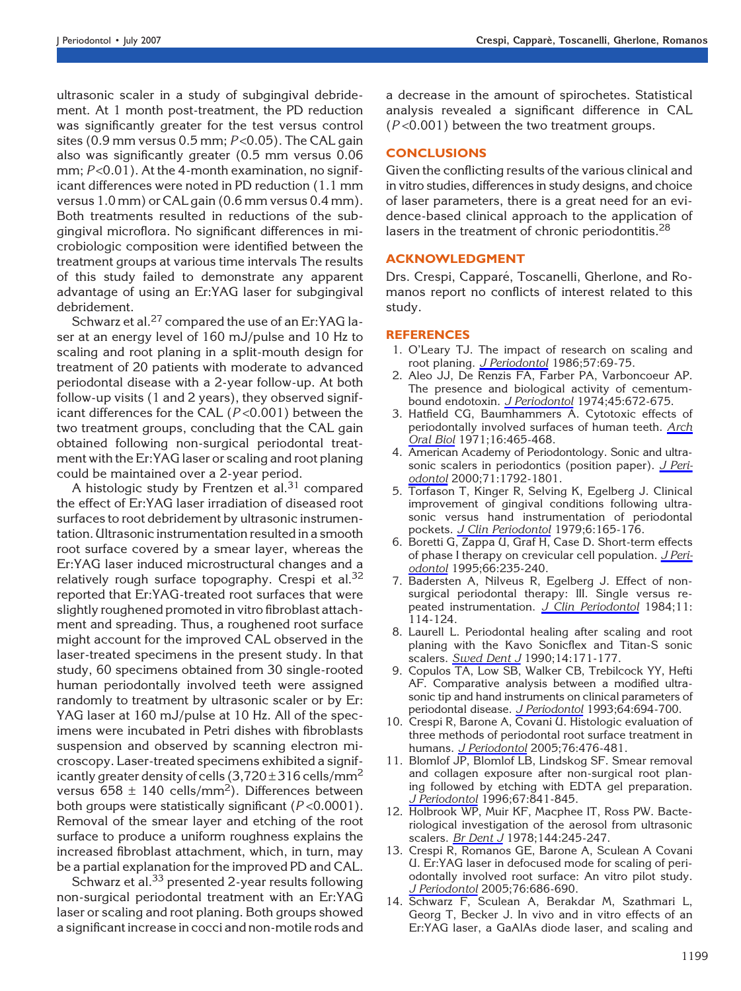ultrasonic scaler in a study of subgingival debridement. At 1 month post-treatment, the PD reduction was significantly greater for the test versus control sites (0.9 mm versus 0.5 mm;  $P < 0.05$ ). The CAL gain also was significantly greater (0.5 mm versus 0.06 mm;  $P < 0.01$ ). At the 4-month examination, no significant differences were noted in PD reduction (1.1 mm versus 1.0 mm) or CAL gain (0.6 mm versus 0.4 mm). Both treatments resulted in reductions of the subgingival microflora. No significant differences in microbiologic composition were identified between the treatment groups at various time intervals The results of this study failed to demonstrate any apparent advantage of using an Er:YAG laser for subgingival debridement.

Schwarz et al.<sup>27</sup> compared the use of an Er:YAG laser at an energy level of 160 mJ/pulse and 10 Hz to scaling and root planing in a split-mouth design for treatment of 20 patients with moderate to advanced periodontal disease with a 2-year follow-up. At both follow-up visits (1 and 2 years), they observed significant differences for the CAL  $(P<0.001)$  between the two treatment groups, concluding that the CAL gain obtained following non-surgical periodontal treatment with the Er:YAG laser or scaling and root planing could be maintained over a 2-year period.

A histologic study by Frentzen et al. $31$  compared the effect of Er:YAG laser irradiation of diseased root surfaces to root debridement by ultrasonic instrumentation. Ultrasonic instrumentation resulted in a smooth root surface covered by a smear layer, whereas the Er:YAG laser induced microstructural changes and a relatively rough surface topography. Crespi et al.<sup>32</sup> reported that Er:YAG-treated root surfaces that were slightly roughened promoted in vitro fibroblast attachment and spreading. Thus, a roughened root surface might account for the improved CAL observed in the laser-treated specimens in the present study. In that study, 60 specimens obtained from 30 single-rooted human periodontally involved teeth were assigned randomly to treatment by ultrasonic scaler or by Er: YAG laser at 160 mJ/pulse at 10 Hz. All of the specimens were incubated in Petri dishes with fibroblasts suspension and observed by scanning electron microscopy. Laser-treated specimens exhibited a significantly greater density of cells  $(3,720 \pm 316 \,\mathrm{cells/mm^2})$ versus 658  $\pm$  140 cells/mm<sup>2</sup>). Differences between both groups were statistically significant  $(P<0.0001)$ . Removal of the smear layer and etching of the root surface to produce a uniform roughness explains the increased fibroblast attachment, which, in turn, may be a partial explanation for the improved PD and CAL.

Schwarz et al.<sup>33</sup> presented 2-year results following non-surgical periodontal treatment with an Er:YAG laser or scaling and root planing. Both groups showed a significant increase in cocci and non-motile rods and a decrease in the amount of spirochetes. Statistical analysis revealed a significant difference in CAL  $(P<0.001)$  between the two treatment groups.

# **CONCLUSIONS**

Given the conflicting results of the various clinical and in vitro studies, differences in study designs, and choice of laser parameters, there is a great need for an evidence-based clinical approach to the application of lasers in the treatment of chronic periodontitis.<sup>28</sup>

#### ACKNOWLEDGMENT

Drs. Crespi, Capparé, Toscanelli, Gherlone, and Romanos report no conflicts of interest related to this study.

#### REFERENCES

- 1. O'Leary TJ. The impact of research on scaling and root planing. J Periodontol 1986;57:69-75.
- 2. Aleo JJ, De Renzis FA, Farber PA, Varboncoeur AP. The presence and biological activity of cementumbound endotoxin. J Periodontol 1974;45:672-675.
- 3. Hatfield CG, Baumhammers A. Cytotoxic effects of periodontally involved surfaces of human teeth. Arch Oral Biol 1971;16:465-468.
- 4. American Academy of Periodontology. Sonic and ultrasonic scalers in periodontics (position paper). J Periodontol 2000;71:1792-1801.
- 5. Torfason T, Kinger R, Selving K, Egelberg J. Clinical improvement of gingival conditions following ultrasonic versus hand instrumentation of periodontal pockets. J Clin Periodontol 1979;6:165-176.
- 6. Boretti G, Zappa U, Graf H, Case D. Short-term effects of phase I therapy on crevicular cell population. J Periodontol 1995;66:235-240.
- 7. Badersten A, Nilveus R, Egelberg J. Effect of nonsurgical periodontal therapy: III. Single versus repeated instrumentation. J Clin Periodontol 1984;11: 114-124.
- 8. Laurell L. Periodontal healing after scaling and root planing with the Kavo Sonicflex and Titan-S sonic scalers. Swed Dent J 1990;14:171-177.
- 9. Copulos TA, Low SB, Walker CB, Trebilcock YY, Hefti AF. Comparative analysis between a modified ultrasonic tip and hand instruments on clinical parameters of periodontal disease. J Periodontol 1993;64:694-700.
- 10. Crespi R, Barone A, Covani U. Histologic evaluation of three methods of periodontal root surface treatment in humans. J Periodontol 2005;76:476-481.
- 11. Blomlof JP, Blomlof LB, Lindskog SF. Smear removal and collagen exposure after non-surgical root planing followed by etching with EDTA gel preparation. J Periodontol 1996;67:841-845.
- 12. Holbrook WP, Muir KF, Macphee IT, Ross PW. Bacteriological investigation of the aerosol from ultrasonic scalers. **Br Dent J** 1978;144:245-247.
- 13. Crespi R, Romanos GE, Barone A, Sculean A Covani U. Er:YAG laser in defocused mode for scaling of periodontally involved root surface: An vitro pilot study. J Periodontol 2005;76:686-690.
- 14. Schwarz F, Sculean A, Berakdar M, Szathmari L, Georg T, Becker J. In vivo and in vitro effects of an Er:YAG laser, a GaAlAs diode laser, and scaling and